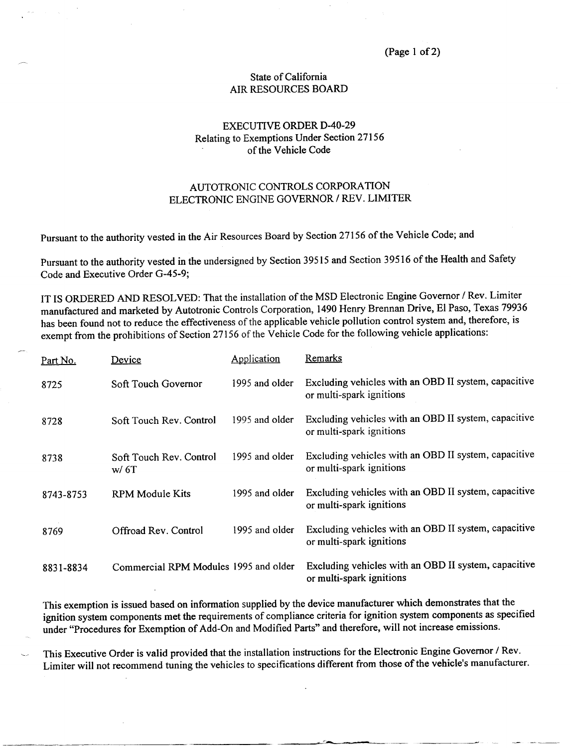## State of California AIR RESOURCES BOARD

## EXECUTIVE ORDER D-40-29 Relating to Exemptions Under Section 27156 of the Vehicle Code

## AUTOTRONIC CONTROLS CORPORATION ELECTRONIC ENGINE GOVERNOR / REV. LIMITER

Pursuant to the authority vested in the Air Resources Board by Section 27156 of the Vehicle Code; and

Pursuant to the authority vested in the undersigned by Section 39515 and Section 39516 of the Health and Safety Code and Executive Order G-45-9

IT IS ORDERED AND RESOLVED: That the installation of the MSD Electronic Engine Governor / Rev. Limiter has been found not to reduce the effectiveness of the applicable vehicle pollution control system and, therefore, is has been found not to reduce the effectiveness of the applicable vehicle pollution control system and, therefore, exempt from the prohibitions of Section 27156 of the Vehicle Code for the following vehicle applications:

| Part No.  | Device                                | Application    | Remarks                                                                          |
|-----------|---------------------------------------|----------------|----------------------------------------------------------------------------------|
| 8725      | Soft Touch Governor                   | 1995 and older | Excluding vehicles with an OBD II system, capacitive<br>or multi-spark ignitions |
| 8728      | Soft Touch Rev. Control               | 1995 and older | Excluding vehicles with an OBD II system, capacitive<br>or multi-spark ignitions |
| 8738      | Soft Touch Rev. Control<br>w/6T       | 1995 and older | Excluding vehicles with an OBD II system, capacitive<br>or multi-spark ignitions |
| 8743-8753 | <b>RPM Module Kits</b>                | 1995 and older | Excluding vehicles with an OBD II system, capacitive<br>or multi-spark ignitions |
| 8769      | Offroad Rev. Control                  | 1995 and older | Excluding vehicles with an OBD II system, capacitive<br>or multi-spark ignitions |
| 8831-8834 | Commercial RPM Modules 1995 and older |                | Excluding vehicles with an OBD II system, capacitive<br>or multi-spark ignitions |

This exemption is issued based on information supplied by the device manufacturer which demonstrates that the ignition system components met the requirements of compliance criteria for ignition system components as specifi gnition system components met the requirements of compliance criteria for ignition system components as specified under "Procedures for Exemption of Add-On and Modified Parts" and therefore, will not increase emissions.

This Executive Order is valid provided that the installation instructions for the Electronic Engine Governor / Rev. Limiter will not recommend tuning the vehicles to specifications different from those of the vehicle's manufacturer.